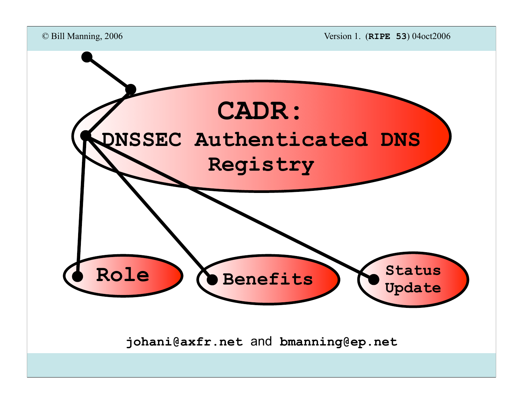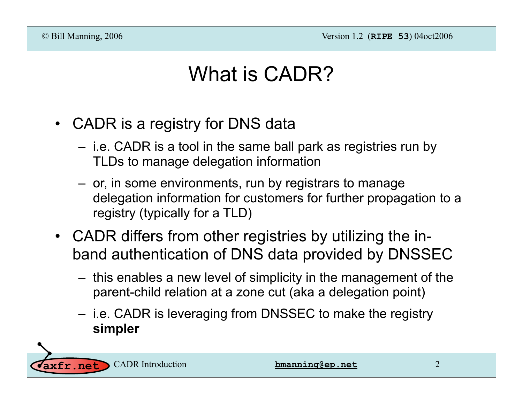## What is CADR?

- CADR is a registry for DNS data
	- i.e. CADR is a tool in the same ball park as registries run by TLDs to manage delegation information
	- or, in some environments, run by registrars to manage delegation information for customers for further propagation to a registry (typically for a TLD)
- CADR differs from other registries by utilizing the inband authentication of DNS data provided by DNSSEC
	- this enables a new level of simplicity in the management of the parent-child relation at a zone cut (aka a delegation point)
	- i.e. CADR is leveraging from DNSSEC to make the registry **simpler**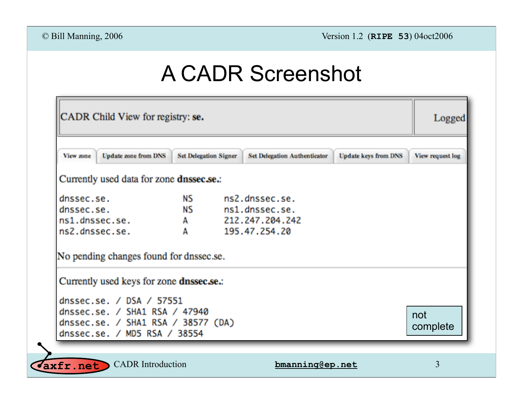# A CADR Screenshot

| CADR Child View for registry: se.                                                                                                                                                        |                              |  |                                     |                             | Logged           |
|------------------------------------------------------------------------------------------------------------------------------------------------------------------------------------------|------------------------------|--|-------------------------------------|-----------------------------|------------------|
| <b>Update zone from DNS</b><br>View zone                                                                                                                                                 | <b>Set Delegation Signer</b> |  | <b>Set Delegation Authenticator</b> | <b>Update keys from DNS</b> | View request log |
| Currently used data for zone dnssec.se.:                                                                                                                                                 |                              |  |                                     |                             |                  |
| dnssec.se.                                                                                                                                                                               | <b>NS</b>                    |  | ns2.dnssec.se.                      |                             |                  |
| dnssec.se.                                                                                                                                                                               | <b>NS</b>                    |  | ns1.dnssec.se.                      |                             |                  |
| ns1.dnssec.se.                                                                                                                                                                           | Α                            |  | 212.247.204.242                     |                             |                  |
| ns2.dnssec.se.                                                                                                                                                                           | A                            |  | 195.47.254.20                       |                             |                  |
| No pending changes found for dnssec.se.<br>Currently used keys for zone dnssec.se.:<br>dnssec.se. / DSA / 57551<br>dnssec.se. / SHA1 RSA / 47940<br>dnssec.se. / SHA1 RSA / 38577 $(DA)$ |                              |  |                                     |                             | not<br>complete  |
| dnssec.se. / MD5 RSA / 38554                                                                                                                                                             |                              |  |                                     |                             |                  |

CADR Introduction **bmanning@ep.net axfr.net**

3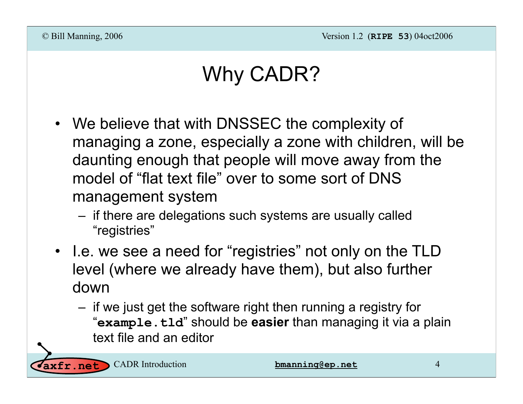# Why CADR?

- We believe that with DNSSEC the complexity of managing a zone, especially a zone with children, will be daunting enough that people will move away from the model of "flat text file" over to some sort of DNS management system
	- if there are delegations such systems are usually called "registries"
- I.e. we see a need for "registries" not only on the TLD level (where we already have them), but also further down
	- if we just get the software right then running a registry for "**example.tld**" should be **easier** than managing it via a plain text file and an editor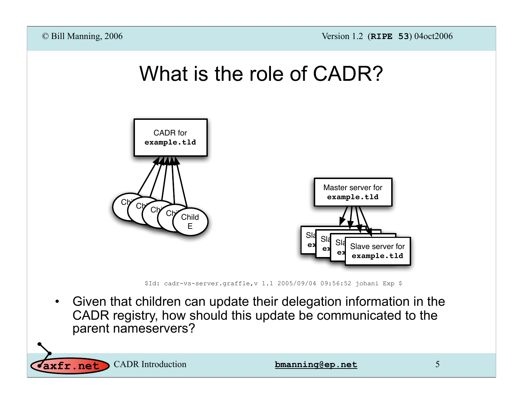

**axfr.net** CADR Introduction **bmanning@ep.net** 5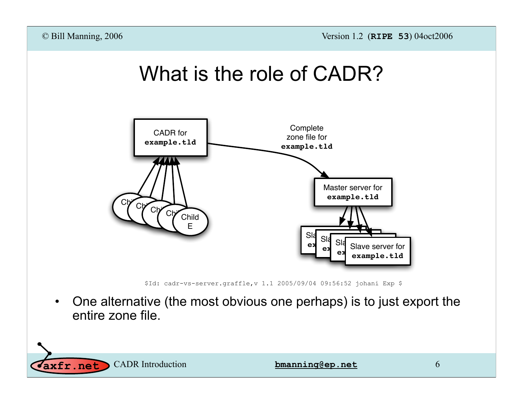



\$Id: cadr-vs-server.graffle,v 1.1 2005/09/04 09:56:52 johani Exp \$

• One alternative (the most obvious one perhaps) is to just export the entire zone file.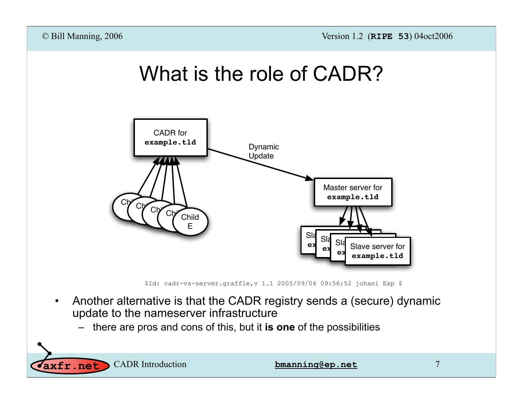



\$Id: cadr-vs-server.graffle,v 1.1 2005/09/04 09:56:52 johani Exp \$

- Another alternative is that the CADR registry sends a (secure) dynamic update to the nameserver infrastructure
	- there are pros and cons of this, but it **is one** of the possibilities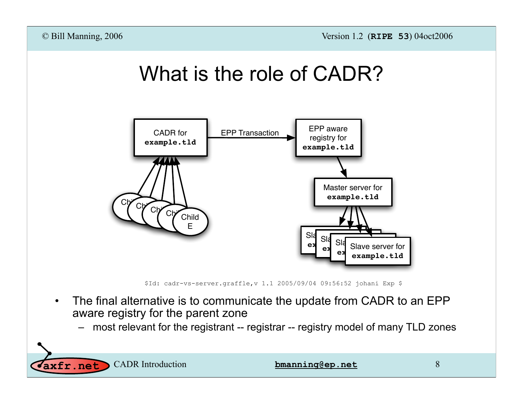



\$Id: cadr-vs-server.graffle,v 1.1 2005/09/04 09:56:52 johani Exp \$

- The final alternative is to communicate the update from CADR to an EPP aware registry for the parent zone
	- most relevant for the registrant -- registrar -- registry model of many TLD zones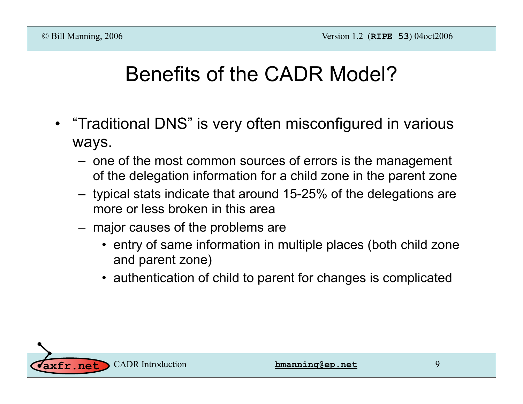# Benefits of the CADR Model?

- "Traditional DNS" is very often misconfigured in various ways.
	- one of the most common sources of errors is the management of the delegation information for a child zone in the parent zone
	- typical stats indicate that around 15-25% of the delegations are more or less broken in this area
	- major causes of the problems are
		- entry of same information in multiple places (both child zone and parent zone)
		- authentication of child to parent for changes is complicated

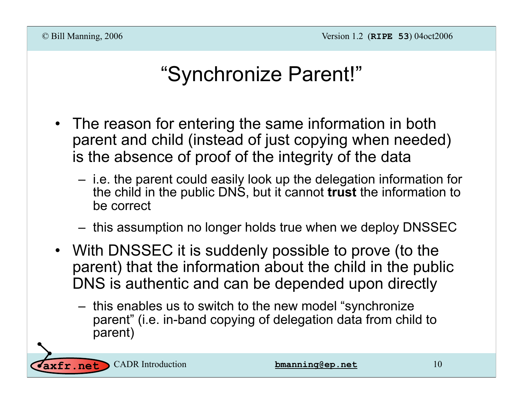## "Synchronize Parent!"

- The reason for entering the same information in both parent and child (instead of just copying when needed) is the absence of proof of the integrity of the data
	- i.e. the parent could easily look up the delegation information for the child in the public DNS, but it cannot **trust** the information to be correct
	- this assumption no longer holds true when we deploy DNSSEC
- With DNSSEC it is suddenly possible to prove (to the parent) that the information about the child in the public DNS is authentic and can be depended upon directly
	- this enables us to switch to the new model "synchronize parent" (i.e. in-band copying of delegation data from child to parent)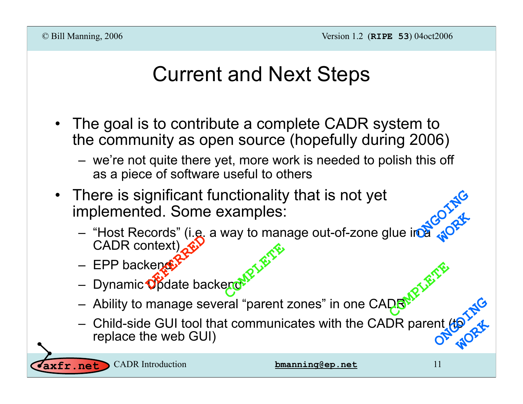#### Current and Next Steps

- The goal is to contribute a complete CADR system to the community as open source (hopefully during 2006)
	- we're not quite there yet, more work is needed to polish this off as a piece of software useful to others
- There is significant functionality that is not yet implemented. Some examples:
	- $-$  "Host Records" (i.e. a way to manage out-of-zone glue in  $\alpha$ CADR context) CADR context)<br>
	- EPP backender<br>
	- Dynamic Opdate backend **COMPLETE ONGOING WORK**
	- $-$  EPP backend
	-
	- Ability to manage several "parent zones" in one CADR **COMPLETE**
	- Child-side GUI tool that communicates with the CADR parent (to replace the web GUI) **ONGOING WORK**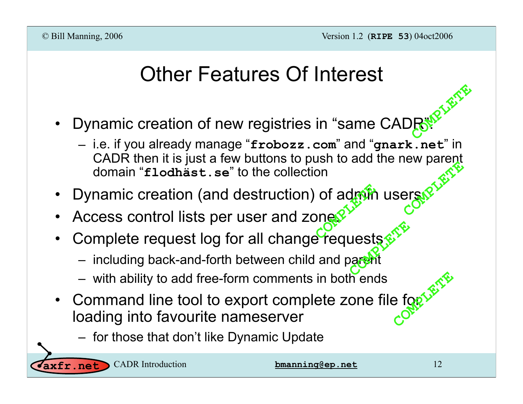#### Other Features Of Interest

- Dynamic creation of new registries in "same CADR". **COMPLETE** 
	- i.e. if you already manage "**frobozz.com**" and "**gnark.net**" in CADR then it is just a few buttons to push to add the new parent domain "**flodhäst.se**" to the collection COMPLISHED
- Dynamic creation (and destruction) of admin users. of admin<br> **Company**
- Access control lists per user and zone.
- Complete request log for all change requests **Lests & TREA** 
	- including back-and-forth between child and parent
	- with ability to add free-form comments in both ends
- Command line tool to export complete zone file for loading into favourite nameserver experimental into tool to expert complete zone increase that don't like Dynamic Update<br>
— for those that don't like Dynamic Update COMPLETED
	-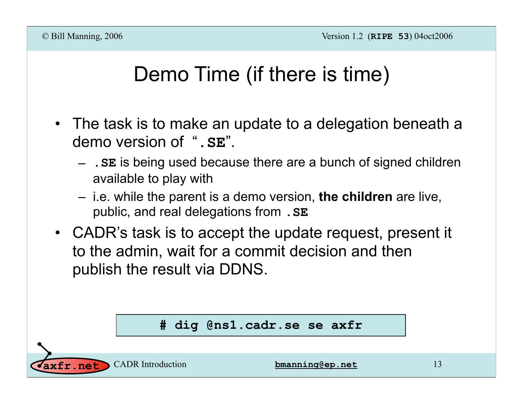### Demo Time (if there is time)

- The task is to make an update to a delegation beneath a demo version of "**.SE**".
	- **.SE** is being used because there are a bunch of signed children available to play with
	- i.e. while the parent is a demo version, **the children** are live, public, and real delegations from **.SE**
- CADR's task is to accept the update request, present it to the admin, wait for a commit decision and then publish the result via DDNS.

#### **# dig @ns1.cadr.se se axfr**